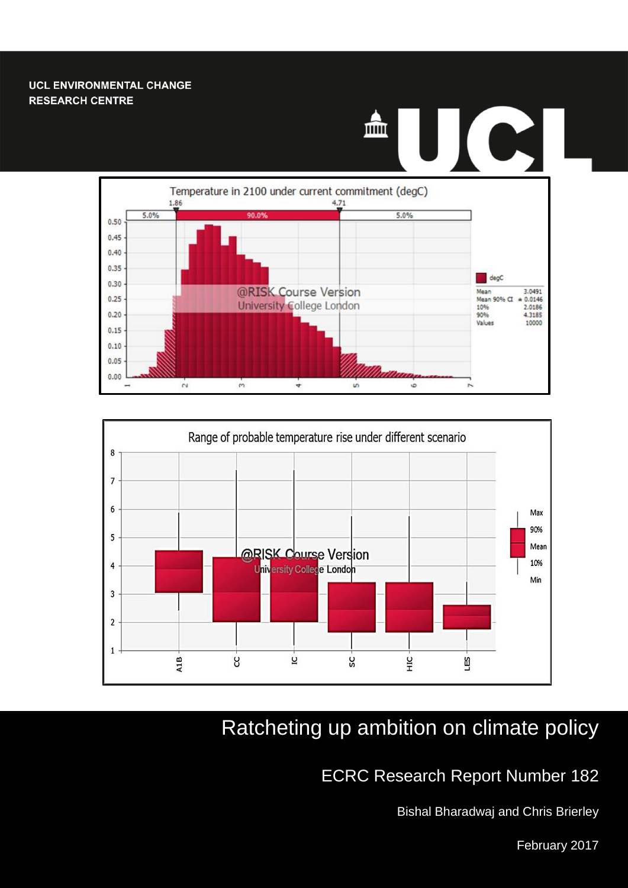#### **UCL ENVIRONMENTAL CHANGE RESEARCH CENTRE**

# $\bullet$ mm  $\prod$





# Ratcheting up ambition on climate policy

# ECRC Research Report Number 182

Bishal Bharadwaj and Chris Brierley

1 February 2017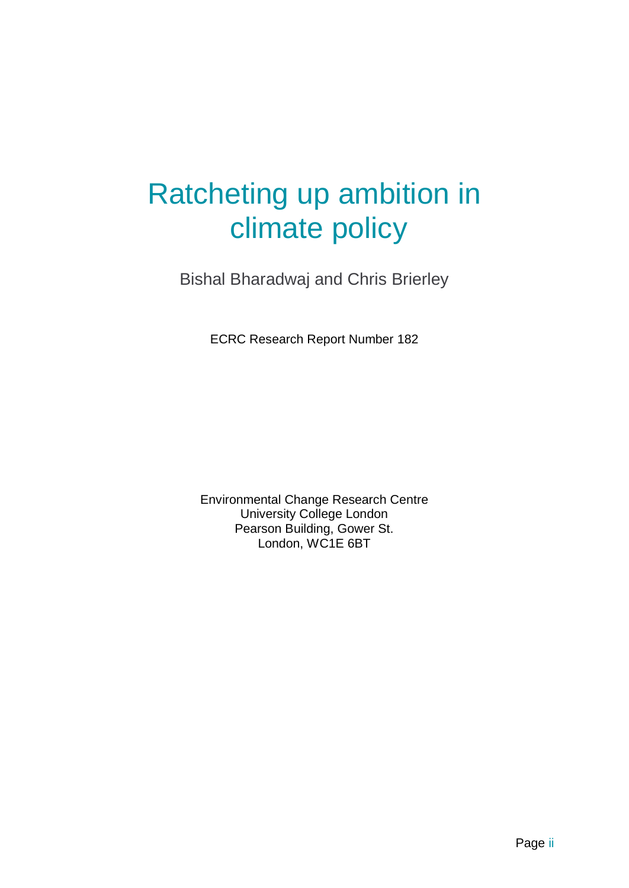# Ratcheting up ambition in climate policy

Bishal Bharadwaj and Chris Brierley

ECRC Research Report Number 182

Environmental Change Research Centre University College London Pearson Building, Gower St. London, WC1E 6BT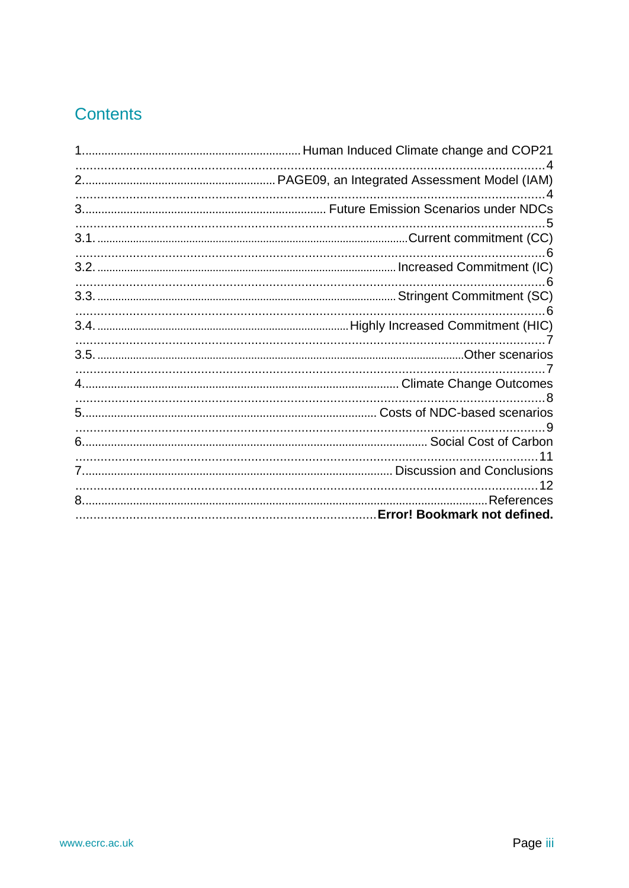# Contents

| 12 |
|----|
| 11 |
|    |
|    |
|    |
|    |
|    |
|    |
|    |
|    |
|    |
|    |
| -6 |
|    |
|    |
|    |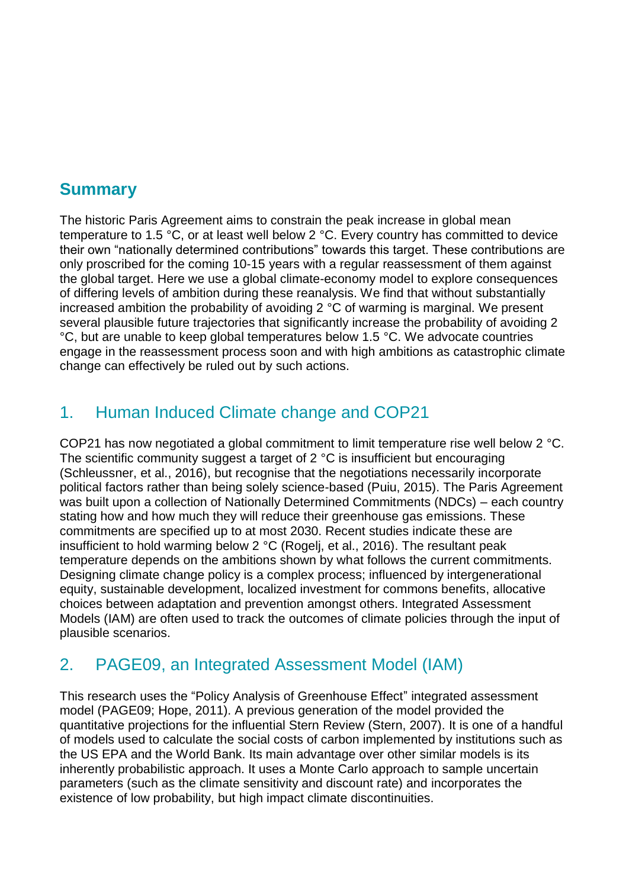# **Summary**

The historic Paris Agreement aims to constrain the peak increase in global mean temperature to 1.5 °C, or at least well below 2 °C. Every country has committed to device their own "nationally determined contributions" towards this target. These contributions are only proscribed for the coming 10-15 years with a regular reassessment of them against the global target. Here we use a global climate-economy model to explore consequences of differing levels of ambition during these reanalysis. We find that without substantially increased ambition the probability of avoiding 2 °C of warming is marginal. We present several plausible future trajectories that significantly increase the probability of avoiding 2 °C, but are unable to keep global temperatures below 1.5 °C. We advocate countries engage in the reassessment process soon and with high ambitions as catastrophic climate change can effectively be ruled out by such actions.

# <span id="page-3-0"></span>1. Human Induced Climate change and COP21

COP21 has now negotiated a global commitment to limit temperature rise well below 2 °C. The scientific community suggest a target of 2 °C is insufficient but encouraging (Schleussner, et al., 2016), but recognise that the negotiations necessarily incorporate political factors rather than being solely science-based (Puiu, 2015). The Paris Agreement was built upon a collection of Nationally Determined Commitments (NDCs) – each country stating how and how much they will reduce their greenhouse gas emissions. These commitments are specified up to at most 2030. Recent studies indicate these are insufficient to hold warming below 2 °C (Rogelj, et al., 2016). The resultant peak temperature depends on the ambitions shown by what follows the current commitments. Designing climate change policy is a complex process; influenced by intergenerational equity, sustainable development, localized investment for commons benefits, allocative choices between adaptation and prevention amongst others. Integrated Assessment Models (IAM) are often used to track the outcomes of climate policies through the input of plausible scenarios.

## <span id="page-3-1"></span>2. PAGE09, an Integrated Assessment Model (IAM)

This research uses the "Policy Analysis of Greenhouse Effect" integrated assessment model (PAGE09; Hope, 2011). A previous generation of the model provided the quantitative projections for the influential Stern Review (Stern, 2007). It is one of a handful of models used to calculate the social costs of carbon implemented by institutions such as the US EPA and the World Bank. Its main advantage over other similar models is its inherently probabilistic approach. It uses a Monte Carlo approach to sample uncertain parameters (such as the climate sensitivity and discount rate) and incorporates the existence of low probability, but high impact climate discontinuities.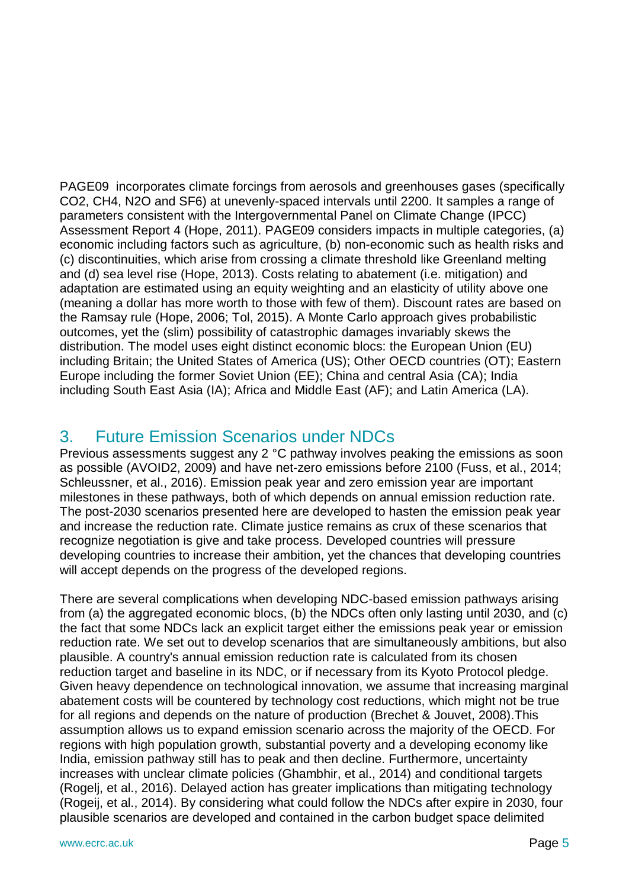PAGE09 incorporates climate forcings from aerosols and greenhouses gases (specifically CO2, CH4, N2O and SF6) at unevenly-spaced intervals until 2200. It samples a range of parameters consistent with the Intergovernmental Panel on Climate Change (IPCC) Assessment Report 4 (Hope, 2011). PAGE09 considers impacts in multiple categories, (a) economic including factors such as agriculture, (b) non-economic such as health risks and (c) discontinuities, which arise from crossing a climate threshold like Greenland melting and (d) sea level rise (Hope, 2013). Costs relating to abatement (i.e. mitigation) and adaptation are estimated using an equity weighting and an elasticity of utility above one (meaning a dollar has more worth to those with few of them). Discount rates are based on the Ramsay rule (Hope, 2006; Tol, 2015). A Monte Carlo approach gives probabilistic outcomes, yet the (slim) possibility of catastrophic damages invariably skews the distribution. The model uses eight distinct economic blocs: the European Union (EU) including Britain; the United States of America (US); Other OECD countries (OT); Eastern Europe including the former Soviet Union (EE); China and central Asia (CA); India including South East Asia (IA); Africa and Middle East (AF); and Latin America (LA).

## <span id="page-4-0"></span>3. Future Emission Scenarios under NDCs

Previous assessments suggest any 2 °C pathway involves peaking the emissions as soon as possible (AVOID2, 2009) and have net-zero emissions before 2100 (Fuss, et al., 2014; Schleussner, et al., 2016). Emission peak year and zero emission year are important milestones in these pathways, both of which depends on annual emission reduction rate. The post-2030 scenarios presented here are developed to hasten the emission peak year and increase the reduction rate. Climate justice remains as crux of these scenarios that recognize negotiation is give and take process. Developed countries will pressure developing countries to increase their ambition, yet the chances that developing countries will accept depends on the progress of the developed regions.

There are several complications when developing NDC-based emission pathways arising from (a) the aggregated economic blocs, (b) the NDCs often only lasting until 2030, and (c) the fact that some NDCs lack an explicit target either the emissions peak year or emission reduction rate. We set out to develop scenarios that are simultaneously ambitions, but also plausible. A country's annual emission reduction rate is calculated from its chosen reduction target and baseline in its NDC, or if necessary from its Kyoto Protocol pledge. Given heavy dependence on technological innovation, we assume that increasing marginal abatement costs will be countered by technology cost reductions, which might not be true for all regions and depends on the nature of production (Brechet & Jouvet, 2008).This assumption allows us to expand emission scenario across the majority of the OECD. For regions with high population growth, substantial poverty and a developing economy like India, emission pathway still has to peak and then decline. Furthermore, uncertainty increases with unclear climate policies (Ghambhir, et al., 2014) and conditional targets (Rogelj, et al., 2016). Delayed action has greater implications than mitigating technology (Rogeij, et al., 2014). By considering what could follow the NDCs after expire in 2030, four plausible scenarios are developed and contained in the carbon budget space delimited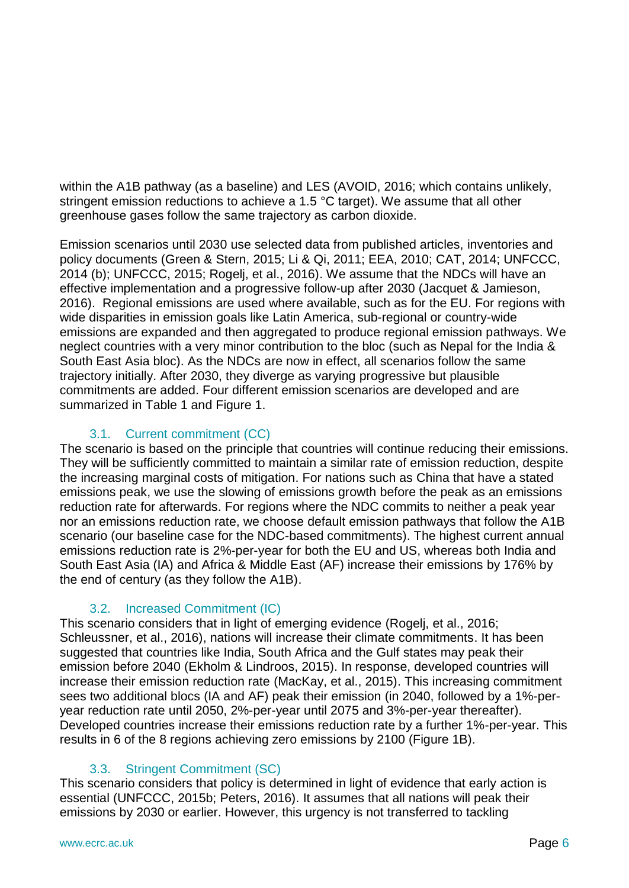within the A1B pathway (as a baseline) and LES (AVOID, 2016; which contains unlikely, stringent emission reductions to achieve a 1.5 °C target). We assume that all other greenhouse gases follow the same trajectory as carbon dioxide.

Emission scenarios until 2030 use selected data from published articles, inventories and policy documents (Green & Stern, 2015; Li & Qi, 2011; EEA, 2010; CAT, 2014; UNFCCC, 2014 (b); UNFCCC, 2015; Rogelj, et al., 2016). We assume that the NDCs will have an effective implementation and a progressive follow-up after 2030 (Jacquet & Jamieson, 2016). Regional emissions are used where available, such as for the EU. For regions with wide disparities in emission goals like Latin America, sub-regional or country-wide emissions are expanded and then aggregated to produce regional emission pathways. We neglect countries with a very minor contribution to the bloc (such as Nepal for the India & South East Asia bloc). As the NDCs are now in effect, all scenarios follow the same trajectory initially. After 2030, they diverge as varying progressive but plausible commitments are added. Four different emission scenarios are developed and are summarized in Table 1 and Figure 1.

#### 3.1. Current commitment (CC)

<span id="page-5-0"></span>The scenario is based on the principle that countries will continue reducing their emissions. They will be sufficiently committed to maintain a similar rate of emission reduction, despite the increasing marginal costs of mitigation. For nations such as China that have a stated emissions peak, we use the slowing of emissions growth before the peak as an emissions reduction rate for afterwards. For regions where the NDC commits to neither a peak year nor an emissions reduction rate, we choose default emission pathways that follow the A1B scenario (our baseline case for the NDC-based commitments). The highest current annual emissions reduction rate is 2%-per-year for both the EU and US, whereas both India and South East Asia (IA) and Africa & Middle East (AF) increase their emissions by 176% by the end of century (as they follow the A1B).

#### 3.2. Increased Commitment (IC)

<span id="page-5-1"></span>This scenario considers that in light of emerging evidence (Rogelj, et al., 2016; Schleussner, et al., 2016), nations will increase their climate commitments. It has been suggested that countries like India, South Africa and the Gulf states may peak their emission before 2040 (Ekholm & Lindroos, 2015). In response, developed countries will increase their emission reduction rate (MacKay, et al., 2015). This increasing commitment sees two additional blocs (IA and AF) peak their emission (in 2040, followed by a 1%-peryear reduction rate until 2050, 2%-per-year until 2075 and 3%-per-year thereafter). Developed countries increase their emissions reduction rate by a further 1%-per-year. This results in 6 of the 8 regions achieving zero emissions by 2100 (Figure 1B).

#### 3.3. Stringent Commitment (SC)

<span id="page-5-2"></span>This scenario considers that policy is determined in light of evidence that early action is essential (UNFCCC, 2015b; Peters, 2016). It assumes that all nations will peak their emissions by 2030 or earlier. However, this urgency is not transferred to tackling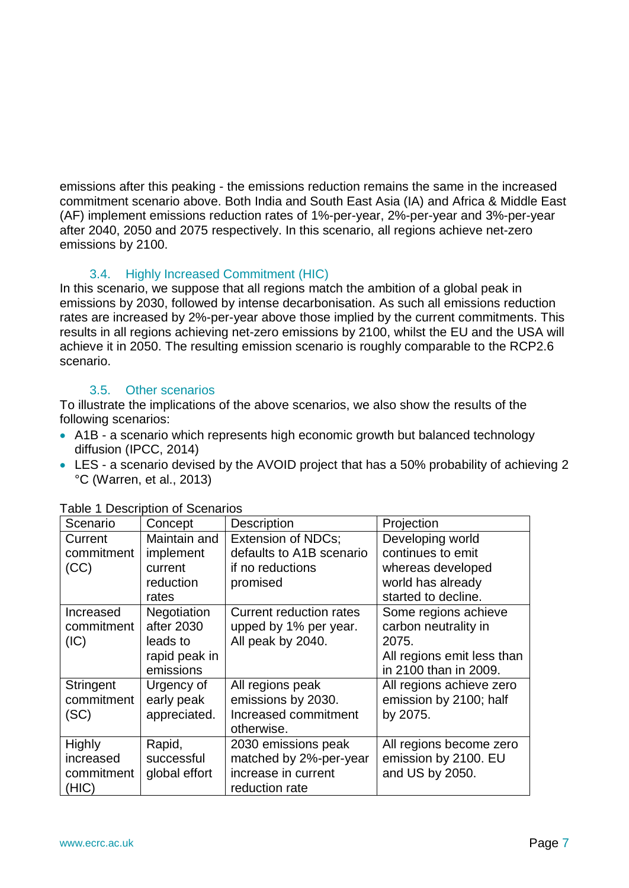emissions after this peaking - the emissions reduction remains the same in the increased commitment scenario above. Both India and South East Asia (IA) and Africa & Middle East (AF) implement emissions reduction rates of 1%-per-year, 2%-per-year and 3%-per-year after 2040, 2050 and 2075 respectively. In this scenario, all regions achieve net-zero emissions by 2100.

#### 3.4. Highly Increased Commitment (HIC)

<span id="page-6-0"></span>In this scenario, we suppose that all regions match the ambition of a global peak in emissions by 2030, followed by intense decarbonisation. As such all emissions reduction rates are increased by 2%-per-year above those implied by the current commitments. This results in all regions achieving net-zero emissions by 2100, whilst the EU and the USA will achieve it in 2050. The resulting emission scenario is roughly comparable to the RCP2.6 scenario.

#### 3.5. Other scenarios

<span id="page-6-1"></span>To illustrate the implications of the above scenarios, we also show the results of the following scenarios:

- A1B a scenario which represents high economic growth but balanced technology diffusion (IPCC, 2014)
- LES a scenario devised by the AVOID project that has a 50% probability of achieving 2 °C (Warren, et al., 2013)

| Scenario      | Concept       | <b>Description</b>             | Projection                 |
|---------------|---------------|--------------------------------|----------------------------|
| Current       | Maintain and  | <b>Extension of NDCs;</b>      | Developing world           |
| commitment    | implement     | defaults to A1B scenario       | continues to emit          |
| (CC)          | current       | if no reductions               | whereas developed          |
|               | reduction     | promised                       | world has already          |
|               | rates         |                                | started to decline.        |
| Increased     | Negotiation   | <b>Current reduction rates</b> | Some regions achieve       |
| commitment    | after 2030    | upped by 1% per year.          | carbon neutrality in       |
| (IC)          | leads to      | All peak by 2040.              | 2075.                      |
|               | rapid peak in |                                | All regions emit less than |
|               | emissions     |                                | in 2100 than in 2009.      |
| Stringent     | Urgency of    | All regions peak               | All regions achieve zero   |
| commitment    | early peak    | emissions by 2030.             | emission by 2100; half     |
| (SC)          | appreciated.  | Increased commitment           | by 2075.                   |
|               |               | otherwise.                     |                            |
| <b>Highly</b> | Rapid,        | 2030 emissions peak            | All regions become zero    |
| increased     | successful    | matched by 2%-per-year         | emission by 2100. EU       |
| commitment    | global effort | increase in current            | and US by 2050.            |
| (HIC)         |               | reduction rate                 |                            |

Table 1 Description of Scenarios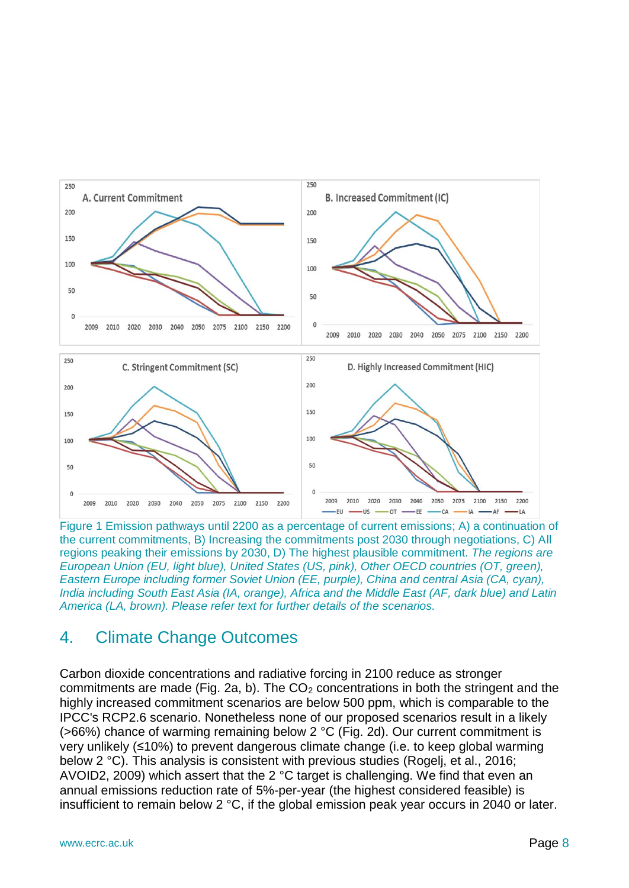

Figure 1 Emission pathways until 2200 as a percentage of current emissions; A) a continuation of the current commitments, B) Increasing the commitments post 2030 through negotiations, C) All regions peaking their emissions by 2030, D) The highest plausible commitment. *The regions are European Union (EU, light blue), United States (US, pink), Other OECD countries (OT, green), Eastern Europe including former Soviet Union (EE, purple), China and central Asia (CA, cyan), India including South East Asia (IA, orange), Africa and the Middle East (AF, dark blue) and Latin America (LA, brown). Please refer text for further details of the scenarios.*

## <span id="page-7-0"></span>4. Climate Change Outcomes

Carbon dioxide concentrations and radiative forcing in 2100 reduce as stronger commitments are made (Fig. 2a, b). The  $CO<sub>2</sub>$  concentrations in both the stringent and the highly increased commitment scenarios are below 500 ppm, which is comparable to the IPCC's RCP2.6 scenario. Nonetheless none of our proposed scenarios result in a likely (>66%) chance of warming remaining below 2 °C (Fig. 2d). Our current commitment is very unlikely (≤10%) to prevent dangerous climate change (i.e. to keep global warming below 2 °C). This analysis is consistent with previous studies (Rogelj, et al., 2016; AVOID2, 2009) which assert that the 2 °C target is challenging. We find that even an annual emissions reduction rate of 5%-per-year (the highest considered feasible) is insufficient to remain below 2 °C, if the global emission peak year occurs in 2040 or later.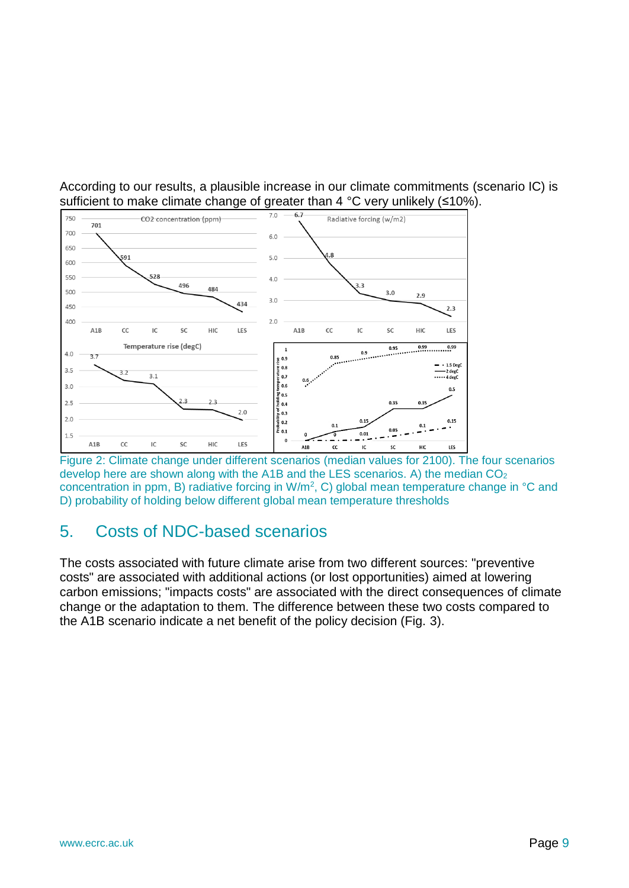

According to our results, a plausible increase in our climate commitments (scenario IC) is sufficient to make climate change of greater than 4 °C very unlikely (≤10%).

Figure 2: Climate change under different scenarios (median values for 2100). The four scenarios develop here are shown along with the A1B and the LES scenarios. A) the median  $CO<sub>2</sub>$ concentration in ppm, B) radiative forcing in W/m<sup>2</sup>, C) global mean temperature change in °C and D) probability of holding below different global mean temperature thresholds

# <span id="page-8-0"></span>5. Costs of NDC-based scenarios

The costs associated with future climate arise from two different sources: "preventive costs" are associated with additional actions (or lost opportunities) aimed at lowering carbon emissions; "impacts costs" are associated with the direct consequences of climate change or the adaptation to them. The difference between these two costs compared to the A1B scenario indicate a net benefit of the policy decision (Fig. 3).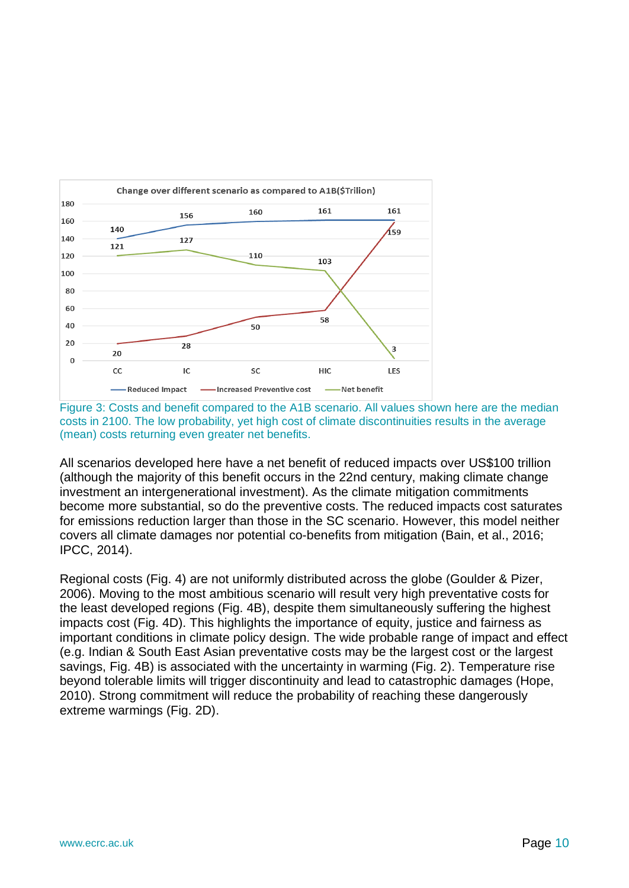



All scenarios developed here have a net benefit of reduced impacts over US\$100 trillion (although the majority of this benefit occurs in the 22nd century, making climate change investment an intergenerational investment). As the climate mitigation commitments become more substantial, so do the preventive costs. The reduced impacts cost saturates for emissions reduction larger than those in the SC scenario. However, this model neither covers all climate damages nor potential co-benefits from mitigation (Bain, et al., 2016; IPCC, 2014).

Regional costs (Fig. 4) are not uniformly distributed across the globe (Goulder & Pizer, 2006). Moving to the most ambitious scenario will result very high preventative costs for the least developed regions (Fig. 4B), despite them simultaneously suffering the highest impacts cost (Fig. 4D). This highlights the importance of equity, justice and fairness as important conditions in climate policy design. The wide probable range of impact and effect (e.g. Indian & South East Asian preventative costs may be the largest cost or the largest savings, Fig. 4B) is associated with the uncertainty in warming (Fig. 2). Temperature rise beyond tolerable limits will trigger discontinuity and lead to catastrophic damages (Hope, 2010). Strong commitment will reduce the probability of reaching these dangerously extreme warmings (Fig. 2D).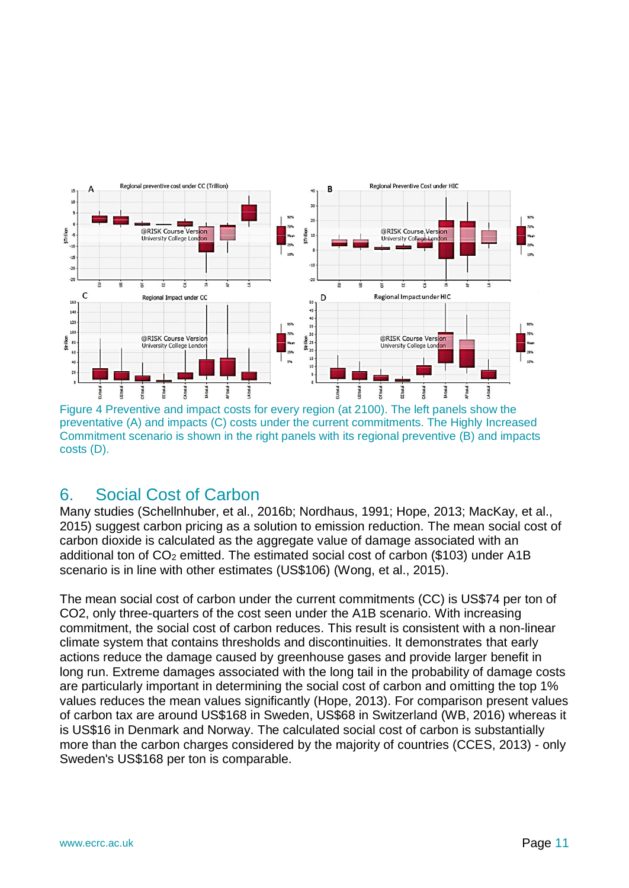

Figure 4 Preventive and impact costs for every region (at 2100). The left panels show the preventative (A) and impacts (C) costs under the current commitments. The Highly Increased Commitment scenario is shown in the right panels with its regional preventive (B) and impacts costs (D).

# <span id="page-10-0"></span>6. Social Cost of Carbon

Many studies (Schellnhuber, et al., 2016b; Nordhaus, 1991; Hope, 2013; MacKay, et al., 2015) suggest carbon pricing as a solution to emission reduction. The mean social cost of carbon dioxide is calculated as the aggregate value of damage associated with an additional ton of CO<sub>2</sub> emitted. The estimated social cost of carbon (\$103) under A1B scenario is in line with other estimates (US\$106) (Wong, et al., 2015).

The mean social cost of carbon under the current commitments (CC) is US\$74 per ton of CO2, only three-quarters of the cost seen under the A1B scenario. With increasing commitment, the social cost of carbon reduces. This result is consistent with a non-linear climate system that contains thresholds and discontinuities. It demonstrates that early actions reduce the damage caused by greenhouse gases and provide larger benefit in long run. Extreme damages associated with the long tail in the probability of damage costs are particularly important in determining the social cost of carbon and omitting the top 1% values reduces the mean values significantly (Hope, 2013). For comparison present values of carbon tax are around US\$168 in Sweden, US\$68 in Switzerland (WB, 2016) whereas it is US\$16 in Denmark and Norway. The calculated social cost of carbon is substantially more than the carbon charges considered by the majority of countries (CCES, 2013) - only Sweden's US\$168 per ton is comparable.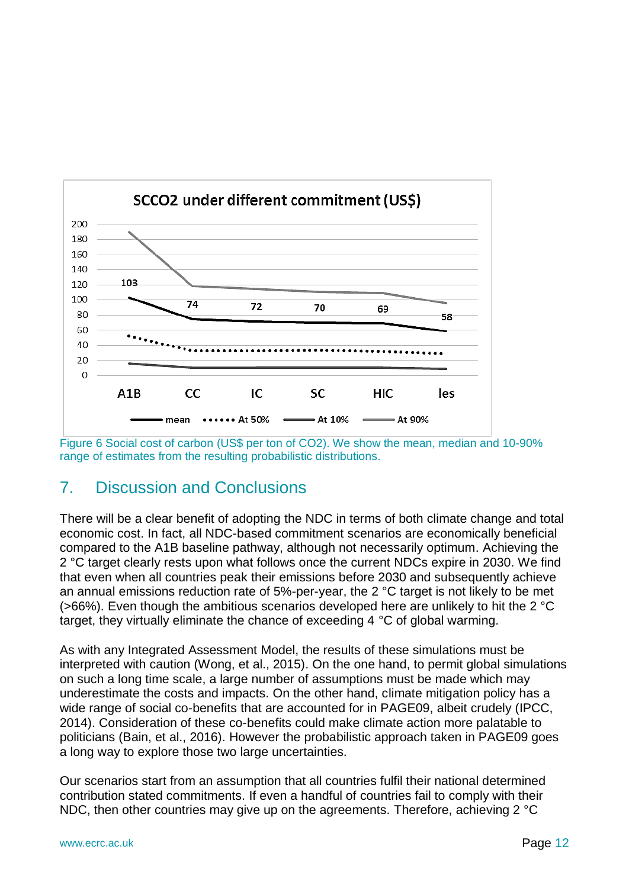

Figure 6 Social cost of carbon (US\$ per ton of CO2). We show the mean, median and 10-90% range of estimates from the resulting probabilistic distributions.

# <span id="page-11-0"></span>7. Discussion and Conclusions

There will be a clear benefit of adopting the NDC in terms of both climate change and total economic cost. In fact, all NDC-based commitment scenarios are economically beneficial compared to the A1B baseline pathway, although not necessarily optimum. Achieving the 2 °C target clearly rests upon what follows once the current NDCs expire in 2030. We find that even when all countries peak their emissions before 2030 and subsequently achieve an annual emissions reduction rate of 5%-per-year, the 2 °C target is not likely to be met (>66%). Even though the ambitious scenarios developed here are unlikely to hit the 2 °C target, they virtually eliminate the chance of exceeding 4 °C of global warming.

As with any Integrated Assessment Model, the results of these simulations must be interpreted with caution (Wong, et al., 2015). On the one hand, to permit global simulations on such a long time scale, a large number of assumptions must be made which may underestimate the costs and impacts. On the other hand, climate mitigation policy has a wide range of social co-benefits that are accounted for in PAGE09, albeit crudely (IPCC, 2014). Consideration of these co-benefits could make climate action more palatable to politicians (Bain, et al., 2016). However the probabilistic approach taken in PAGE09 goes a long way to explore those two large uncertainties.

Our scenarios start from an assumption that all countries fulfil their national determined contribution stated commitments. If even a handful of countries fail to comply with their NDC, then other countries may give up on the agreements. Therefore, achieving 2 °C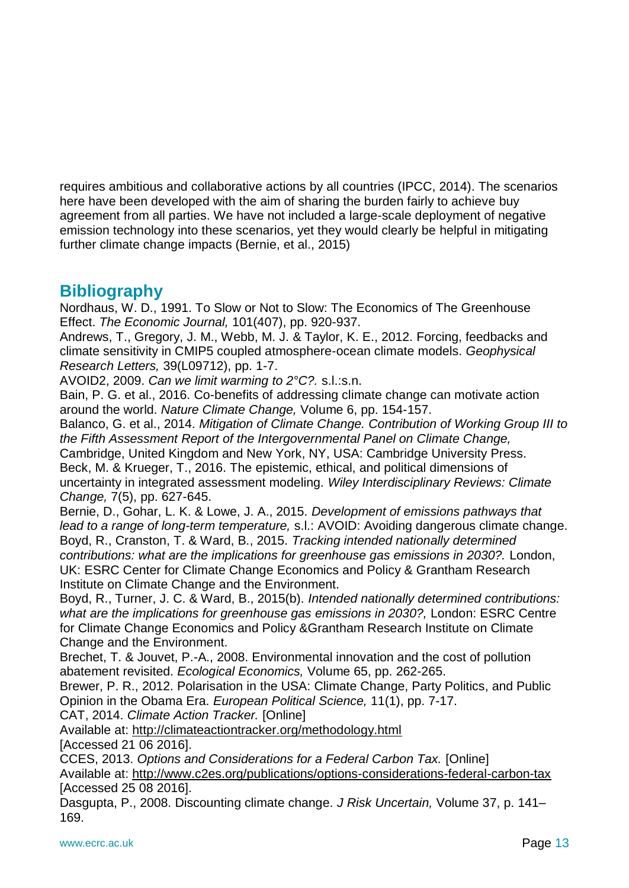requires ambitious and collaborative actions by all countries (IPCC, 2014). The scenarios here have been developed with the aim of sharing the burden fairly to achieve buy agreement from all parties. We have not included a large-scale deployment of negative emission technology into these scenarios, yet they would clearly be helpful in mitigating further climate change impacts (Bernie, et al., 2015)

### **Bibliography**

Nordhaus, W. D., 1991. To Slow or Not to Slow: The Economics of The Greenhouse Effect. *The Economic Journal,* 101(407), pp. 920-937.

Andrews, T., Gregory, J. M., Webb, M. J. & Taylor, K. E., 2012. Forcing, feedbacks and climate sensitivity in CMIP5 coupled atmosphere-ocean climate models. *Geophysical Research Letters,* 39(L09712), pp. 1-7.

AVOID2, 2009. *Can we limit warming to 2°C?.* s.l.:s.n.

Bain, P. G. et al., 2016. Co-benefits of addressing climate change can motivate action around the world. *Nature Climate Change,* Volume 6, pp. 154-157.

Balanco, G. et al., 2014. *Mitigation of Climate Change. Contribution of Working Group III to the Fifth Assessment Report of the Intergovernmental Panel on Climate Change,*  Cambridge, United Kingdom and New York, NY, USA: Cambridge University Press.

Beck, M. & Krueger, T., 2016. The epistemic, ethical, and political dimensions of uncertainty in integrated assessment modeling. *Wiley Interdisciplinary Reviews: Climate Change,* 7(5), pp. 627-645.

Bernie, D., Gohar, L. K. & Lowe, J. A., 2015. *Development of emissions pathways that lead to a range of long-term temperature,* s.l.: AVOID: Avoiding dangerous climate change. Boyd, R., Cranston, T. & Ward, B., 2015. *Tracking intended nationally determined contributions: what are the implications for greenhouse gas emissions in 2030?.* London, UK: ESRC Center for Climate Change Economics and Policy & Grantham Research Institute on Climate Change and the Environment.

Boyd, R., Turner, J. C. & Ward, B., 2015(b). *Intended nationally determined contributions:*  what are the *implications for greenhouse gas emissions in 2030?*, London: ESRC Centre for Climate Change Economics and Policy &Grantham Research Institute on Climate Change and the Environment.

Brechet, T. & Jouvet, P.-A., 2008. Environmental innovation and the cost of pollution abatement revisited. *Ecological Economics,* Volume 65, pp. 262-265.

Brewer, P. R., 2012. Polarisation in the USA: Climate Change, Party Politics, and Public Opinion in the Obama Era. *European Political Science,* 11(1), pp. 7-17.

CAT, 2014. *Climate Action Tracker.* [Online]

Available at: http://climateactiontracker.org/methodology.html [Accessed 21 06 2016].

CCES, 2013. *Options and Considerations for a Federal Carbon Tax.* [Online] Available at: http://www.c2es.org/publications/options-considerations-federal-carbon-tax [Accessed 25 08 2016].

Dasgupta, P., 2008. Discounting climate change. *J Risk Uncertain,* Volume 37, p. 141– 169.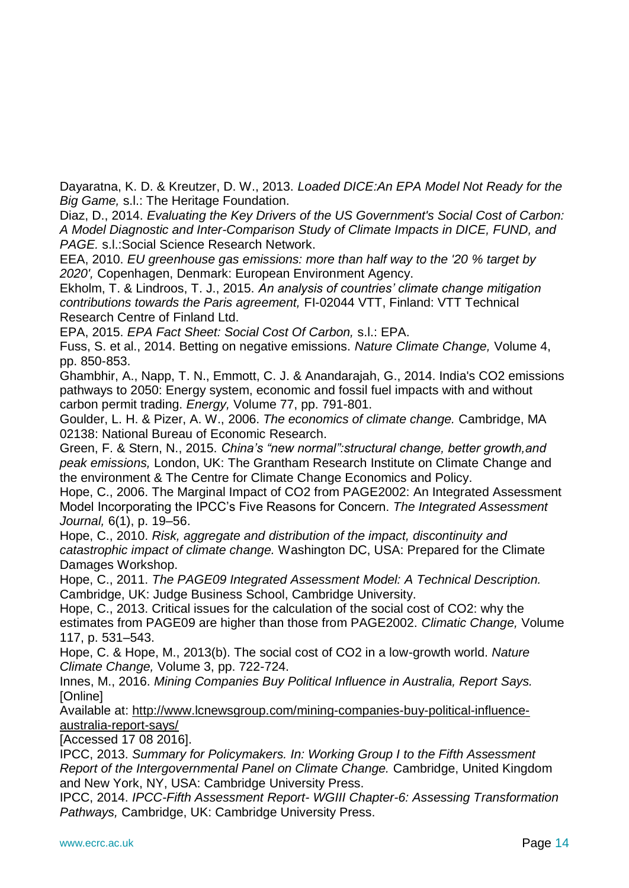Dayaratna, K. D. & Kreutzer, D. W., 2013. *Loaded DICE:An EPA Model Not Ready for the Big Game,* s.l.: The Heritage Foundation.

Diaz, D., 2014. *Evaluating the Key Drivers of the US Government's Social Cost of Carbon: A Model Diagnostic and Inter-Comparison Study of Climate Impacts in DICE, FUND, and PAGE.* s.l.:Social Science Research Network.

EEA, 2010. *EU greenhouse gas emissions: more than half way to the '20 % target by 2020',* Copenhagen, Denmark: European Environment Agency.

Ekholm, T. & Lindroos, T. J., 2015. *An analysis of countries' climate change mitigation contributions towards the Paris agreement,* FI-02044 VTT, Finland: VTT Technical Research Centre of Finland Ltd.

EPA, 2015. *EPA Fact Sheet: Social Cost Of Carbon,* s.l.: EPA.

Fuss, S. et al., 2014. Betting on negative emissions. *Nature Climate Change,* Volume 4, pp. 850-853.

Ghambhir, A., Napp, T. N., Emmott, C. J. & Anandarajah, G., 2014. India's CO2 emissions pathways to 2050: Energy system, economic and fossil fuel impacts with and without carbon permit trading. *Energy,* Volume 77, pp. 791-801.

Goulder, L. H. & Pizer, A. W., 2006. *The economics of climate change.* Cambridge, MA 02138: National Bureau of Economic Research.

Green, F. & Stern, N., 2015. *China's "new normal":structural change, better growth,and peak emissions,* London, UK: The Grantham Research Institute on Climate Change and the environment & The Centre for Climate Change Economics and Policy.

Hope, C., 2006. The Marginal Impact of CO2 from PAGE2002: An Integrated Assessment Model Incorporating the IPCC's Five Reasons for Concern. *The Integrated Assessment Journal,* 6(1), p. 19–56.

Hope, C., 2010. *Risk, aggregate and distribution of the impact, discontinuity and catastrophic impact of climate change.* Washington DC, USA: Prepared for the Climate Damages Workshop.

Hope, C., 2011. *The PAGE09 Integrated Assessment Model: A Technical Description.*  Cambridge, UK: Judge Business School, Cambridge University.

Hope, C., 2013. Critical issues for the calculation of the social cost of CO2: why the estimates from PAGE09 are higher than those from PAGE2002. *Climatic Change,* Volume 117, p. 531–543.

Hope, C. & Hope, M., 2013(b). The social cost of CO2 in a low-growth world. *Nature Climate Change,* Volume 3, pp. 722-724.

Innes, M., 2016. *Mining Companies Buy Political Influence in Australia, Report Says.*  [Online]

Available at: http://www.lcnewsgroup.com/mining-companies-buy-political-influenceaustralia-report-says/

[Accessed 17 08 2016].

IPCC, 2013. *Summary for Policymakers. In: Working Group I to the Fifth Assessment Report of the Intergovernmental Panel on Climate Change.* Cambridge, United Kingdom and New York, NY, USA: Cambridge University Press.

IPCC, 2014. *IPCC-Fifth Assessment Report- WGIII Chapter-6: Assessing Transformation Pathways,* Cambridge, UK: Cambridge University Press.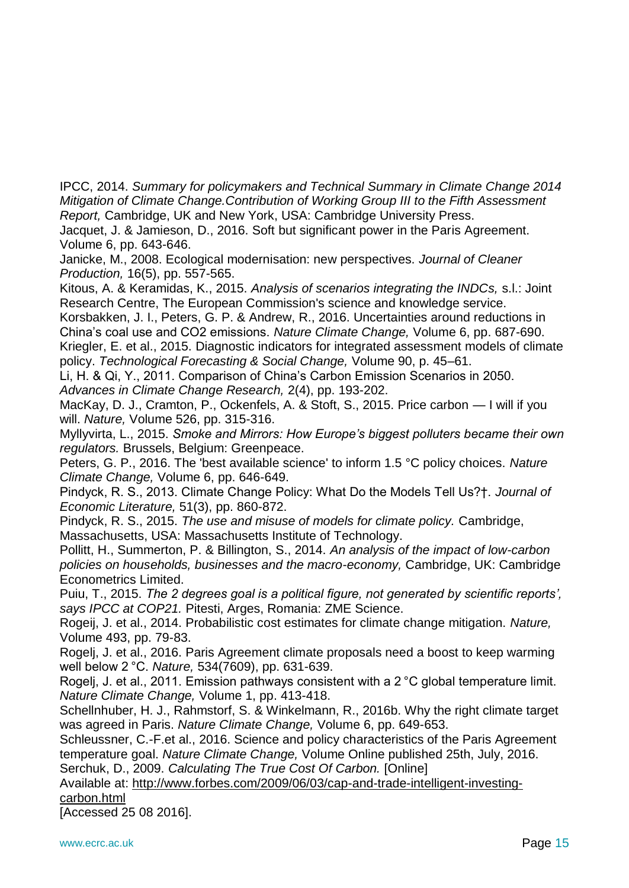IPCC, 2014. *Summary for policymakers and Technical Summary in Climate Change 2014 Mitigation of Climate Change.Contribution of Working Group III to the Fifth Assessment Report,* Cambridge, UK and New York, USA: Cambridge University Press.

Jacquet, J. & Jamieson, D., 2016. Soft but significant power in the Paris Agreement. Volume 6, pp. 643-646.

Janicke, M., 2008. Ecological modernisation: new perspectives. *Journal of Cleaner Production,* 16(5), pp. 557-565.

Kitous, A. & Keramidas, K., 2015. *Analysis of scenarios integrating the INDCs,* s.l.: Joint Research Centre, The European Commission's science and knowledge service.

Korsbakken, J. I., Peters, G. P. & Andrew, R., 2016. Uncertainties around reductions in China's coal use and CO2 emissions. *Nature Climate Change,* Volume 6, pp. 687-690. Kriegler, E. et al., 2015. Diagnostic indicators for integrated assessment models of climate policy. *Technological Forecasting & Social Change,* Volume 90, p. 45–61.

Li, H. & Qi, Y., 2011. Comparison of China's Carbon Emission Scenarios in 2050. *Advances in Climate Change Research,* 2(4), pp. 193-202.

MacKay, D. J., Cramton, P., Ockenfels, A. & Stoft, S., 2015. Price carbon — I will if you will. *Nature,* Volume 526, pp. 315-316.

Myllyvirta, L., 2015. *Smoke and Mirrors: How Europe's biggest polluters became their own regulators.* Brussels, Belgium: Greenpeace.

Peters, G. P., 2016. The 'best available science' to inform 1.5 °C policy choices. *Nature Climate Change,* Volume 6, pp. 646-649.

Pindyck, R. S., 2013. Climate Change Policy: What Do the Models Tell Us?†. *Journal of Economic Literature,* 51(3), pp. 860-872.

Pindyck, R. S., 2015. *The use and misuse of models for climate policy.* Cambridge, Massachusetts, USA: Massachusetts Institute of Technology.

Pollitt, H., Summerton, P. & Billington, S., 2014. *An analysis of the impact of low-carbon policies on households, businesses and the macro-economy,* Cambridge, UK: Cambridge Econometrics Limited.

Puiu, T., 2015. *The 2 degrees goal is a political figure, not generated by scientific reports', says IPCC at COP21.* Pitesti, Arges, Romania: ZME Science.

Rogeij, J. et al., 2014. Probabilistic cost estimates for climate change mitigation. *Nature,*  Volume 493, pp. 79-83.

Rogelj, J. et al., 2016. Paris Agreement climate proposals need a boost to keep warming well below 2 °C. *Nature,* 534(7609), pp. 631-639.

Rogelj, J. et al., 2011. Emission pathways consistent with a 2 °C global temperature limit. *Nature Climate Change,* Volume 1, pp. 413-418.

Schellnhuber, H. J., Rahmstorf, S. & Winkelmann, R., 2016b. Why the right climate target was agreed in Paris. *Nature Climate Change,* Volume 6, pp. 649-653.

Schleussner, C.-F.et al., 2016. Science and policy characteristics of the Paris Agreement temperature goal. *Nature Climate Change,* Volume Online published 25th, July, 2016.

Serchuk, D., 2009. *Calculating The True Cost Of Carbon.* [Online]

Available at: http://www.forbes.com/2009/06/03/cap-and-trade-intelligent-investingcarbon.html

[Accessed 25 08 2016].